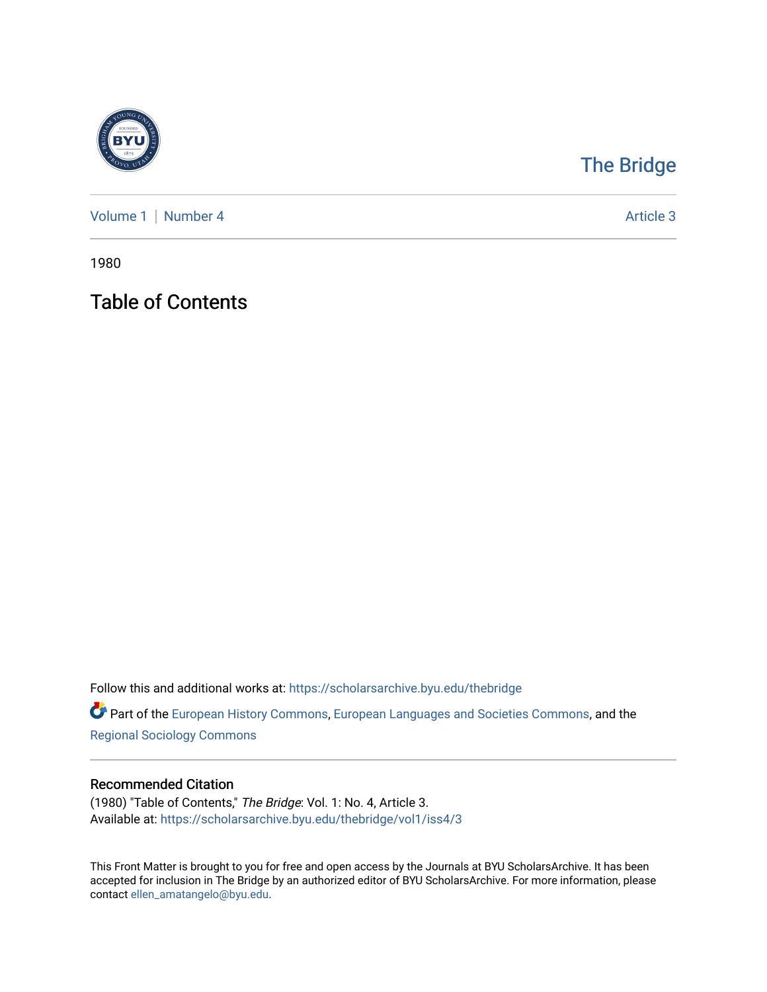

## [The Bridge](https://scholarsarchive.byu.edu/thebridge)

[Volume 1](https://scholarsarchive.byu.edu/thebridge/vol1) | [Number 4](https://scholarsarchive.byu.edu/thebridge/vol1/iss4) Article 3

1980

Table of Contents

Follow this and additional works at: [https://scholarsarchive.byu.edu/thebridge](https://scholarsarchive.byu.edu/thebridge?utm_source=scholarsarchive.byu.edu%2Fthebridge%2Fvol1%2Fiss4%2F3&utm_medium=PDF&utm_campaign=PDFCoverPages) 

**Part of the [European History Commons](http://network.bepress.com/hgg/discipline/492?utm_source=scholarsarchive.byu.edu%2Fthebridge%2Fvol1%2Fiss4%2F3&utm_medium=PDF&utm_campaign=PDFCoverPages), [European Languages and Societies Commons,](http://network.bepress.com/hgg/discipline/482?utm_source=scholarsarchive.byu.edu%2Fthebridge%2Fvol1%2Fiss4%2F3&utm_medium=PDF&utm_campaign=PDFCoverPages) and the** [Regional Sociology Commons](http://network.bepress.com/hgg/discipline/427?utm_source=scholarsarchive.byu.edu%2Fthebridge%2Fvol1%2Fiss4%2F3&utm_medium=PDF&utm_campaign=PDFCoverPages) 

## Recommended Citation

(1980) "Table of Contents," The Bridge: Vol. 1: No. 4, Article 3. Available at: [https://scholarsarchive.byu.edu/thebridge/vol1/iss4/3](https://scholarsarchive.byu.edu/thebridge/vol1/iss4/3?utm_source=scholarsarchive.byu.edu%2Fthebridge%2Fvol1%2Fiss4%2F3&utm_medium=PDF&utm_campaign=PDFCoverPages)

This Front Matter is brought to you for free and open access by the Journals at BYU ScholarsArchive. It has been accepted for inclusion in The Bridge by an authorized editor of BYU ScholarsArchive. For more information, please contact [ellen\\_amatangelo@byu.edu.](mailto:ellen_amatangelo@byu.edu)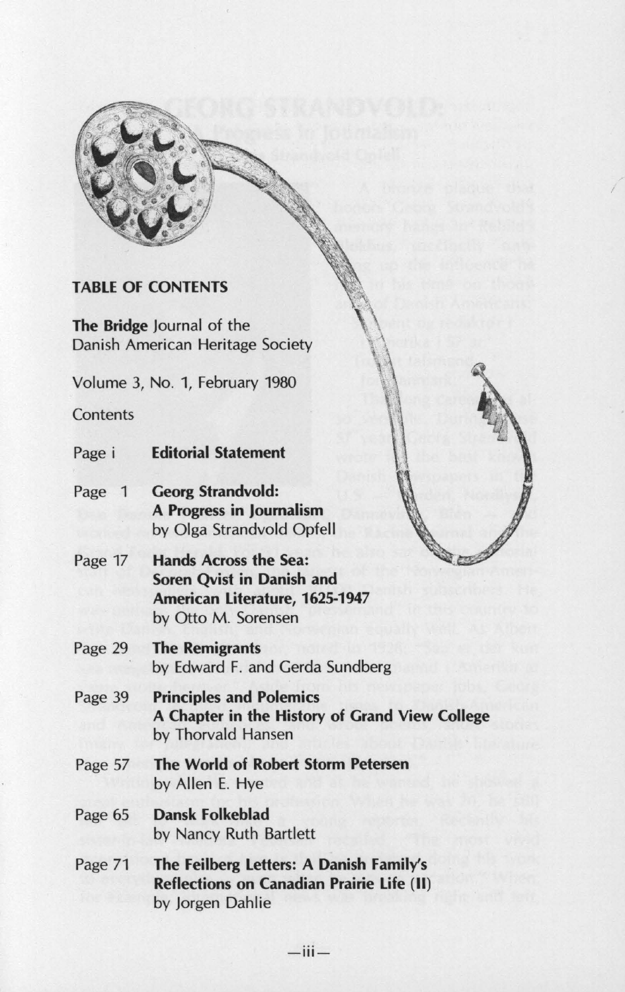

## **TABLE OF CONTENTS**

**The Bridge** Journal of the Danish American Heritage Society

Volume 3, No. 1, February 1980

**Contents** 

- Page i **Editorial Statement**
- Page 1 **Georg Strandvold: A Progress in Journalism**  by Olga Strandvold Opfell
- Page 17 **Hands Across the Sea: Soren Qvist in Danish and American Literature, 1625-1947**  by Otto M. Sorensen
- Page 29 **The Remigrants**  by Edward F. and Gerda Sundberg
- Page 39 **Principles and Polemics A Chapter in the History of Grand View College**  by Thorvald Hansen
- Page 57 **The World of Robert Storm Petersen**  by Allen E. Hye
- Page 65 **Dansk Folkeblad**  by Nancy Ruth Bartlett
- Page 71 **The Feilberg Letters: A Danish Family's Reflections on Canadian Prairie Life** (II) by Jorgen Dahlie